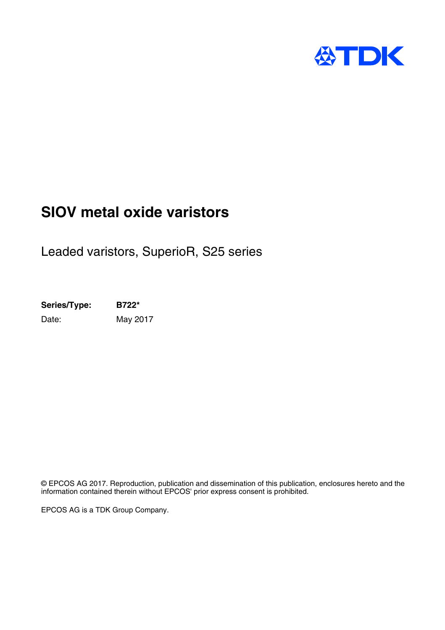

## **SIOV metal oxide varistors**

Leaded varistors, SuperioR, S25 series

**Series/Type: B722\*** Date: May 2017

© EPCOS AG 2017. Reproduction, publication and dissemination of this publication, enclosures hereto and the information contained therein without EPCOS' prior express consent is prohibited.

EPCOS AG is a TDK Group Company.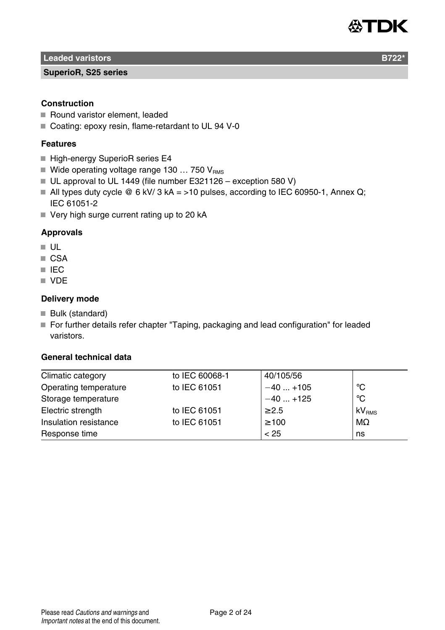

**Leaded varistors B722** 

#### **SuperioR, S25 series**

## **Construction**

- Round varistor element, leaded
- Coating: epoxy resin, flame-retardant to UL 94 V-0

## **Features**

- High-energy SuperioR series E4
- Wide operating voltage range 130 ... 750  $V_{BMS}$
- UL approval to UL 1449 (file number E321126 exception 580 V)
- All types duty cycle  $\textcircled{e} 6$  kV/ 3 kA = >10 pulses, according to IEC 60950-1, Annex Q; IEC 61051-2
- $\blacksquare$  Very high surge current rating up to 20 kA

## **Approvals**

- $\blacksquare$  ULL
- CSA
- **IEC**
- **N** VDF

#### **Delivery mode**

- Bulk (standard)
- For further details refer chapter "Taping, packaging and lead configuration" for leaded varistors.

## **General technical data**

| Climatic category     | to IEC 60068-1 | 40/105/56  |                   |
|-----------------------|----------------|------------|-------------------|
| Operating temperature | to IEC 61051   | $-40+105$  | ்С                |
| Storage temperature   |                | $-40+125$  | $^{\circ}$ C      |
| Electric strength     | to IEC 61051   | $\geq 2.5$ | kV <sub>RMS</sub> |
| Insulation resistance | to IEC 61051   | $\geq 100$ | $M\Omega$         |
| Response time         |                | < 25       | ns                |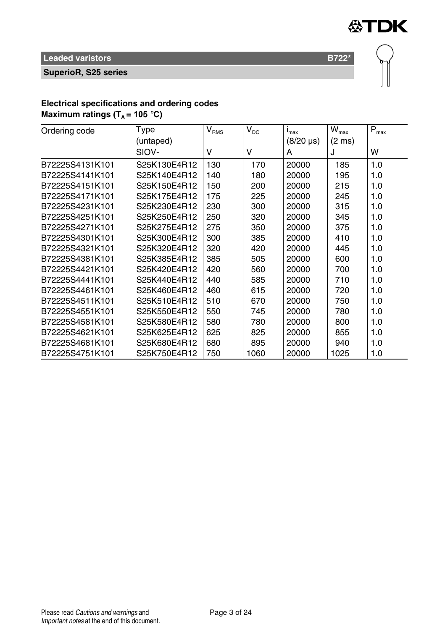

**SuperioR, S25 series**

## **Electrical specifications and ordering codes**

**Maximum ratings**  $(T_A = 105 \text{ °C})$ 

| Ordering code   | Type         | $V_{\rm RMS}$ | $V_{DC}$ | $I_{\text{max}}$ | $\mathsf{W}_{\text{max}}$ | $P_{max}$ |
|-----------------|--------------|---------------|----------|------------------|---------------------------|-----------|
|                 | (untaped)    |               |          | $(8/20 \,\mu s)$ | $(2 \text{ ms})$          |           |
|                 | SIOV-        | v             | v        | A                | J                         | w         |
| B72225S4131K101 | S25K130E4R12 | 130           | 170      | 20000            | 185                       | 1.0       |
| B72225S4141K101 | S25K140E4R12 | 140           | 180      | 20000            | 195                       | 1.0       |
| B72225S4151K101 | S25K150E4R12 | 150           | 200      | 20000            | 215                       | 1.0       |
| B72225S4171K101 | S25K175E4R12 | 175           | 225      | 20000            | 245                       | 1.0       |
| B72225S4231K101 | S25K230E4R12 | 230           | 300      | 20000            | 315                       | 1.0       |
| B72225S4251K101 | S25K250E4R12 | 250           | 320      | 20000            | 345                       | 1.0       |
| B72225S4271K101 | S25K275E4R12 | 275           | 350      | 20000            | 375                       | 1.0       |
| B72225S4301K101 | S25K300E4R12 | 300           | 385      | 20000            | 410                       | 1.0       |
| B72225S4321K101 | S25K320E4R12 | 320           | 420      | 20000            | 445                       | 1.0       |
| B72225S4381K101 | S25K385E4R12 | 385           | 505      | 20000            | 600                       | 1.0       |
| B72225S4421K101 | S25K420E4R12 | 420           | 560      | 20000            | 700                       | 1.0       |
| B72225S4441K101 | S25K440E4R12 | 440           | 585      | 20000            | 710                       | 1.0       |
| B72225S4461K101 | S25K460E4R12 | 460           | 615      | 20000            | 720                       | 1.0       |
| B72225S4511K101 | S25K510E4R12 | 510           | 670      | 20000            | 750                       | 1.0       |
| B72225S4551K101 | S25K550E4R12 | 550           | 745      | 20000            | 780                       | 1.0       |
| B72225S4581K101 | S25K580E4R12 | 580           | 780      | 20000            | 800                       | 1.0       |
| B72225S4621K101 | S25K625E4R12 | 625           | 825      | 20000            | 855                       | 1.0       |
| B72225S4681K101 | S25K680E4R12 | 680           | 895      | 20000            | 940                       | 1.0       |
| B72225S4751K101 | S25K750E4R12 | 750           | 1060     | 20000            | 1025                      | 1.0       |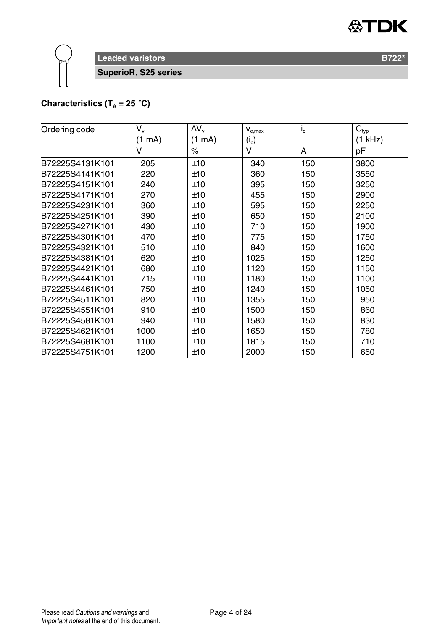

**SuperioR, S25 series**

## **Characteristics (T<sub>A</sub> = 25 °C)**

| Ordering code   | V.               | $\Delta V_{\rm v}$ | $\mathbf{V}_{\text{c,max}}$ | $I_c$ | $C_{typ}$ |
|-----------------|------------------|--------------------|-----------------------------|-------|-----------|
|                 | $(1 \text{ mA})$ | $(1 \text{ mA})$   | $(i_c)$                     |       | (1 kHz)   |
|                 | v                | $\%$               | v                           | A     | рF        |
| B72225S4131K101 | 205              | ±10                | 340                         | 150   | 3800      |
| B72225S4141K101 | 220              | ±10                | 360                         | 150   | 3550      |
| B72225S4151K101 | 240              | ±10                | 395                         | 150   | 3250      |
| B72225S4171K101 | 270              | ±10                | 455                         | 150   | 2900      |
| B72225S4231K101 | 360              | ±10                | 595                         | 150   | 2250      |
| B72225S4251K101 | 390              | ±10                | 650                         | 150   | 2100      |
| B72225S4271K101 | 430              | ±10                | 710                         | 150   | 1900      |
| B72225S4301K101 | 470              | ±10                | 775                         | 150   | 1750      |
| B72225S4321K101 | 510              | ±10                | 840                         | 150   | 1600      |
| B72225S4381K101 | 620              | ±10                | 1025                        | 150   | 1250      |
| B72225S4421K101 | 680              | ±10                | 1120                        | 150   | 1150      |
| B72225S4441K101 | 715              | ±10                | 1180                        | 150   | 1100      |
| B72225S4461K101 | 750              | ±10                | 1240                        | 150   | 1050      |
| B72225S4511K101 | 820              | ±10                | 1355                        | 150   | 950       |
| B72225S4551K101 | 910              | ±10                | 1500                        | 150   | 860       |
| B72225S4581K101 | 940              | ±10                | 1580                        | 150   | 830       |
| B72225S4621K101 | 1000             | ±10                | 1650                        | 150   | 780       |
| B72225S4681K101 | 1100             | ±10                | 1815                        | 150   | 710       |
| B72225S4751K101 | 1200             | ±10                | 2000                        | 150   | 650       |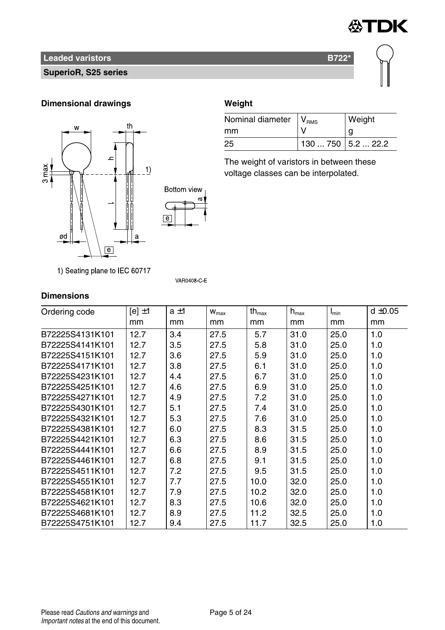

## **SuperioR, S25 series**

## **Dimensional drawings Weight**



1) Seating plane to IEC 60717

| Nominal diameter   V <sub>RMS</sub> |                      | Weight |
|-------------------------------------|----------------------|--------|
| mm                                  |                      |        |
| 25                                  | 130  750   5.2  22.2 |        |

The weight of varistors in between these voltage classes can be interpolated.

## **Dimensions**

| Ordering code   | $[e] \pm 1$ | $a \pm 1$ | $W_{\text{max}}$ | $th_{\text{max}}$ | $h_{\text{max}}$ | $I_{min}$ | $d \pm 0.05$ |
|-----------------|-------------|-----------|------------------|-------------------|------------------|-----------|--------------|
|                 | mm          | mm        | mm               | mm                | mm               | mm        | mm           |
| B72225S4131K101 | 12.7        | 3.4       | 27.5             | 5.7               | 31.0             | 25.0      | 1.0          |
| B72225S4141K101 | 12.7        | 3.5       | 27.5             | 5.8               | 31.0             | 25.0      | 1.0          |
| B72225S4151K101 | 12.7        | 3.6       | 27.5             | 5.9               | 31.0             | 25.0      | 1.0          |
| B72225S4171K101 | 12.7        | 3.8       | 27.5             | 6.1               | 31.0             | 25.0      | 1.0          |
| B72225S4231K101 | 12.7        | 4.4       | 27.5             | 6.7               | 31.0             | 25.0      | 1.0          |
| B72225S4251K101 | 12.7        | 4.6       | 27.5             | 6.9               | 31.0             | 25.0      | 1.0          |
| B72225S4271K101 | 12.7        | 4.9       | 27.5             | 7.2               | 31.0             | 25.0      | 1.0          |
| B72225S4301K101 | 12.7        | 5.1       | 27.5             | 7.4               | 31.0             | 25.0      | 1.0          |
| B72225S4321K101 | 12.7        | 5.3       | 27.5             | 7.6               | 31.0             | 25.0      | 1.0          |
| B72225S4381K101 | 12.7        | 6.0       | 27.5             | 8.3               | 31.5             | 25.0      | 1.0          |
| B72225S4421K101 | 12.7        | 6.3       | 27.5             | 8.6               | 31.5             | 25.0      | 1.0          |
| B72225S4441K101 | 12.7        | 6.6       | 27.5             | 8.9               | 31.5             | 25.0      | 1.0          |
| B72225S4461K101 | 12.7        | 6.8       | 27.5             | 9.1               | 31.5             | 25.0      | 1.0          |
| B72225S4511K101 | 12.7        | 7.2       | 27.5             | 9.5               | 31.5             | 25.0      | 1.0          |
| B72225S4551K101 | 12.7        | 7.7       | 27.5             | 10.0              | 32.0             | 25.0      | 1.0          |
| B72225S4581K101 | 12.7        | 7.9       | 27.5             | 10.2              | 32.0             | 25.0      | 1.0          |
| B72225S4621K101 | 12.7        | 8.3       | 27.5             | 10.6              | 32.0             | 25.0      | 1.0          |
| B72225S4681K101 | 12.7        | 8.9       | 27.5             | 11.2              | 32.5             | 25.0      | 1.0          |
| B72225S4751K101 | 12.7        | 9.4       | 27.5             | 11.7              | 32.5             | 25.0      | 1.0          |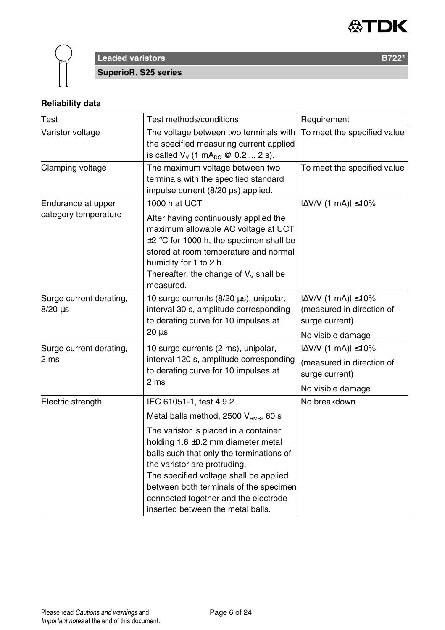



**SuperioR, S25 series**

## **Reliability data**

| Test                                       | Test methods/conditions                                                                                                                                                                                                                                                                                                  | Requirement                                                                                           |
|--------------------------------------------|--------------------------------------------------------------------------------------------------------------------------------------------------------------------------------------------------------------------------------------------------------------------------------------------------------------------------|-------------------------------------------------------------------------------------------------------|
| Varistor voltage                           | The voltage between two terminals with<br>the specified measuring current applied<br>is called $V_v$ (1 mA <sub>pc</sub> @ 0.2  2 s).                                                                                                                                                                                    | To meet the specified value                                                                           |
| Clamping voltage                           | The maximum voltage between two<br>terminals with the specified standard<br>impulse current (8/20 µs) applied.                                                                                                                                                                                                           | To meet the specified value                                                                           |
| Endurance at upper<br>category temperature | 1000 h at UCT<br>After having continuously applied the<br>maximum allowable AC voltage at UCT<br>$\pm 2$ °C for 1000 h, the specimen shall be<br>stored at room temperature and normal<br>humidity for 1 to 2 h.<br>Thereafter, the change of $V_v$ shall be<br>measured.                                                | $ \Delta$ V/V (1 mA) $ \leq$ 10%                                                                      |
| Surge current derating,<br>$8/20 \,\mu s$  | 10 surge currents (8/20 µs), unipolar,<br>interval 30 s, amplitude corresponding<br>to derating curve for 10 impulses at<br>20 us                                                                                                                                                                                        | $ \Delta$ V/V (1 mA) $ \leq$ 10%<br>(measured in direction of<br>surge current)<br>No visible damage  |
| Surge current derating,<br>2 ms            | 10 surge currents (2 ms), unipolar,<br>interval 120 s, amplitude corresponding<br>to derating curve for 10 impulses at<br>2 ms                                                                                                                                                                                           | $ \Delta V/V$ (1 mA) $ \leq 10\%$<br>(measured in direction of<br>surge current)<br>No visible damage |
| Electric strength                          | IEC 61051-1, test 4.9.2<br>Metal balls method, 2500 V <sub>RMS</sub> , 60 s                                                                                                                                                                                                                                              | No breakdown                                                                                          |
|                                            | The varistor is placed in a container<br>holding 1.6 ±0.2 mm diameter metal<br>balls such that only the terminations of<br>the varistor are protruding.<br>The specified voltage shall be applied<br>between both terminals of the specimen<br>connected together and the electrode<br>inserted between the metal balls. |                                                                                                       |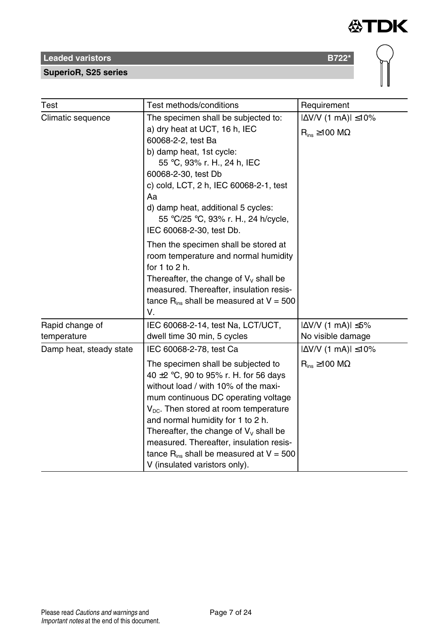## **SuperioR, S25 series**

| Test                           | Test methods/conditions                                                                                                                                                                                                                                                                                                                                                                                                       | Requirement                                                                      |  |
|--------------------------------|-------------------------------------------------------------------------------------------------------------------------------------------------------------------------------------------------------------------------------------------------------------------------------------------------------------------------------------------------------------------------------------------------------------------------------|----------------------------------------------------------------------------------|--|
| Climatic sequence              | The specimen shall be subjected to:<br>a) dry heat at UCT, 16 h, IEC<br>60068-2-2, test Ba<br>b) damp heat, 1st cycle:<br>55 °C, 93% r. H., 24 h, IEC<br>60068-2-30, test Db<br>c) cold, LCT, 2 h, IEC 60068-2-1, test<br>Aa<br>d) damp heat, additional 5 cycles:<br>55 °C/25 °C, 93% r. H., 24 h/cycle,<br>IEC 60068-2-30, test Db.                                                                                         | $ \Delta V/V$ (1 mA) $ \leq 10\%$<br>$\mathsf{R}_{\mathsf{ins}}$ ≥100 M $\Omega$ |  |
|                                | Then the specimen shall be stored at<br>room temperature and normal humidity<br>for $1$ to $2$ h.<br>Thereafter, the change of $V_v$ shall be<br>measured. Thereafter, insulation resis-<br>tance $R_{ins}$ shall be measured at $V = 500$<br>V.                                                                                                                                                                              |                                                                                  |  |
| Rapid change of<br>temperature | IEC 60068-2-14, test Na, LCT/UCT,<br>dwell time 30 min, 5 cycles                                                                                                                                                                                                                                                                                                                                                              | $ \Delta V/V$ (1 mA) $ \leq 5\%$<br>No visible damage                            |  |
| Damp heat, steady state        | IEC 60068-2-78, test Ca<br>The specimen shall be subjected to<br>40 $\pm$ 2 °C, 90 to 95% r. H. for 56 days<br>without load / with 10% of the maxi-<br>mum continuous DC operating voltage<br>$V_{\text{DC}}$ . Then stored at room temperature<br>and normal humidity for 1 to 2 h.<br>Thereafter, the change of $V_v$ shall be<br>measured. Thereafter, insulation resis-<br>tance $R_{ins}$ shall be measured at $V = 500$ | $ \Delta$ V/V (1 mA) $ \leq$ 10%<br>$R_{ins} \ge 100$ M $\Omega$                 |  |

**公TDK** 

V (insulated varistors only).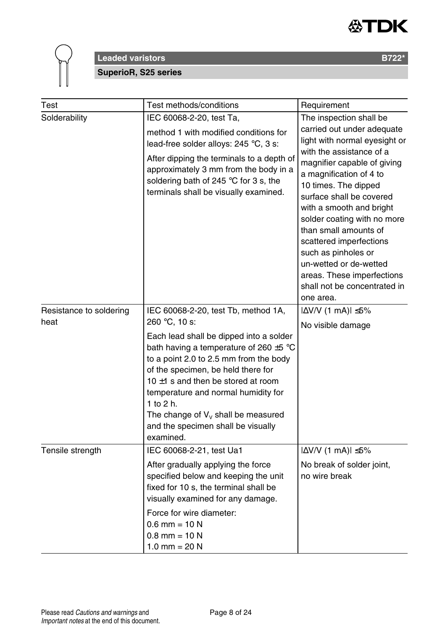



## **Leaded varistors B722\* SuperioR, S25 series**

| Test                    | Test methods/conditions                                                                                                                                                                                                                                                                                                                                           | Requirement                                                                                                                                                                                                                                                                                                                                                                       |
|-------------------------|-------------------------------------------------------------------------------------------------------------------------------------------------------------------------------------------------------------------------------------------------------------------------------------------------------------------------------------------------------------------|-----------------------------------------------------------------------------------------------------------------------------------------------------------------------------------------------------------------------------------------------------------------------------------------------------------------------------------------------------------------------------------|
| Solderability           | IEC 60068-2-20, test Ta,<br>method 1 with modified conditions for<br>lead-free solder alloys: 245 °C, 3 s:                                                                                                                                                                                                                                                        | The inspection shall be<br>carried out under adequate<br>light with normal eyesight or                                                                                                                                                                                                                                                                                            |
|                         | After dipping the terminals to a depth of<br>approximately 3 mm from the body in a<br>soldering bath of 245 °C for 3 s, the<br>terminals shall be visually examined.                                                                                                                                                                                              | with the assistance of a<br>magnifier capable of giving<br>a magnification of 4 to<br>10 times. The dipped<br>surface shall be covered<br>with a smooth and bright<br>solder coating with no more<br>than small amounts of<br>scattered imperfections<br>such as pinholes or<br>un-wetted or de-wetted<br>areas. These imperfections<br>shall not be concentrated in<br>one area. |
| Resistance to soldering | IEC 60068-2-20, test Tb, method 1A,                                                                                                                                                                                                                                                                                                                               | $ \Delta V/V$ (1 mA) $ \leq 5\%$                                                                                                                                                                                                                                                                                                                                                  |
| heat                    | 260 °C, 10 s:                                                                                                                                                                                                                                                                                                                                                     | No visible damage                                                                                                                                                                                                                                                                                                                                                                 |
|                         | Each lead shall be dipped into a solder<br>bath having a temperature of 260 $\pm$ 5 °C<br>to a point 2.0 to 2.5 mm from the body<br>of the specimen, be held there for<br>10 $\pm$ 1 s and then be stored at room<br>temperature and normal humidity for<br>1 to 2 h.<br>The change of $V_v$ shall be measured<br>and the specimen shall be visually<br>examined. | $ \Delta V/V$ (1 mA) $ \leq 5\%$                                                                                                                                                                                                                                                                                                                                                  |
| Tensile strength        | IEC 60068-2-21, test Ua1<br>After gradually applying the force<br>specified below and keeping the unit<br>fixed for 10 s, the terminal shall be                                                                                                                                                                                                                   | No break of solder joint,<br>no wire break                                                                                                                                                                                                                                                                                                                                        |
|                         | visually examined for any damage.<br>Force for wire diameter:<br>$0.6$ mm = 10 N<br>$0.8$ mm = 10 N<br>1.0 mm = $20 N$                                                                                                                                                                                                                                            |                                                                                                                                                                                                                                                                                                                                                                                   |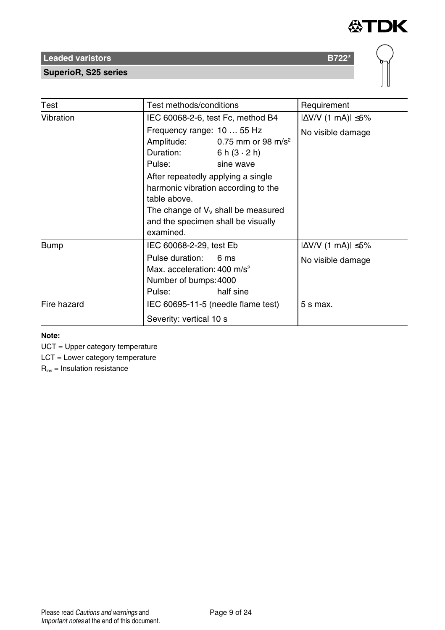

## **SuperioR, S25 series**

| Test        | Test methods/conditions                                                                                                                                                                                                                                                                                                         | Requirement                                           |
|-------------|---------------------------------------------------------------------------------------------------------------------------------------------------------------------------------------------------------------------------------------------------------------------------------------------------------------------------------|-------------------------------------------------------|
| Vibration   | IEC 60068-2-6, test Fc, method B4                                                                                                                                                                                                                                                                                               | $ \Delta V/V$ (1 mA) $ \leq 5\%$                      |
|             | Frequency range: 10  55 Hz<br>Amplitude:<br>0.75 mm or 98 m/s <sup>2</sup><br>Duration:<br>6 h $(3 \cdot 2)$ h)<br>Pulse:<br>sine wave<br>After repeatedly applying a single<br>harmonic vibration according to the<br>table above.<br>The change of $V_v$ shall be measured<br>and the specimen shall be visually<br>examined. | No visible damage                                     |
| <b>Bump</b> | IEC 60068-2-29, test Eb<br>Pulse duration:<br>6 <sub>ms</sub><br>Max. acceleration: $400 \text{ m/s}^2$<br>Number of bumps: 4000<br>half sine<br>Pulse:                                                                                                                                                                         | $ \Delta V/V$ (1 mA) $ \leq 5\%$<br>No visible damage |
| Fire hazard | IEC 60695-11-5 (needle flame test)<br>Severity: vertical 10 s                                                                                                                                                                                                                                                                   | 5 s max.                                              |

#### **Note:**

UCT = Upper category temperature

LCT = Lower category temperature

 $R_{ins}$  = Insulation resistance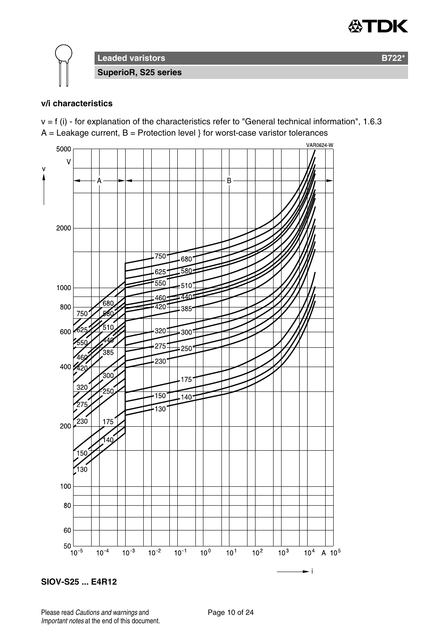

**Leaded varistors B722\* SuperioR, S25 series**

#### **v/i characteristics**

 $v = f$  (i) - for explanation of the characteristics refer to "General technical information", 1.6.3  $A =$  Leakage current,  $B =$  Protection level } for worst-case varistor tolerances



**SIOV-S25 ... E4R12**

Please read Cautions and warnings and <br>
Page 10 of 24 Important notes at the end of this document.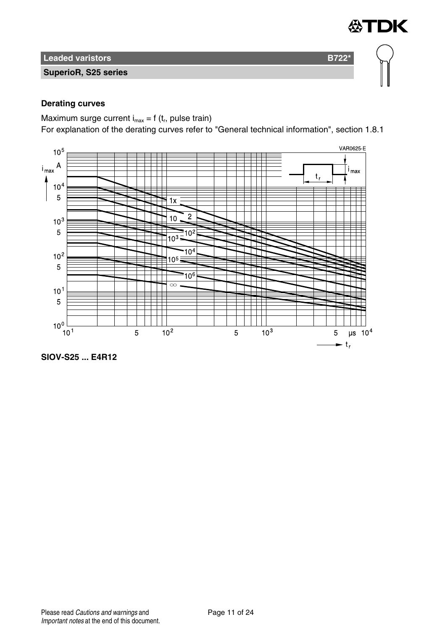

**SuperioR, S25 series**

## **Derating curves**

Maximum surge current  $i_{max} = f(t_r)$ , pulse train)

For explanation of the derating curves refer to "General technical information", section 1.8.1

≪TDK



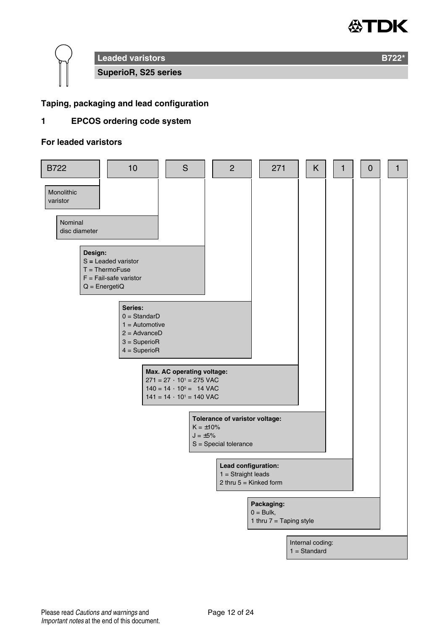



## **Taping, packaging and lead configuration**

## **1 EPCOS ordering code system**

#### **For leaded varistors**

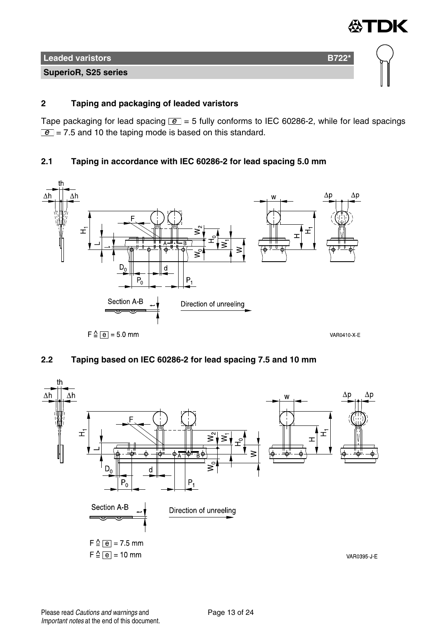

## **2 Taping and packaging of leaded varistors**

Tape packaging for lead spacing  $\boxed{e}$  = 5 fully conforms to IEC 60286-2, while for lead spacings  $\boxed{e}$  = 7.5 and 10 the taping mode is based on this standard.

## **2.1 Taping in accordance with IEC 60286-2 for lead spacing 5.0 mm**



## **2.2 Taping based on IEC 60286-2 for lead spacing 7.5 and 10 mm**

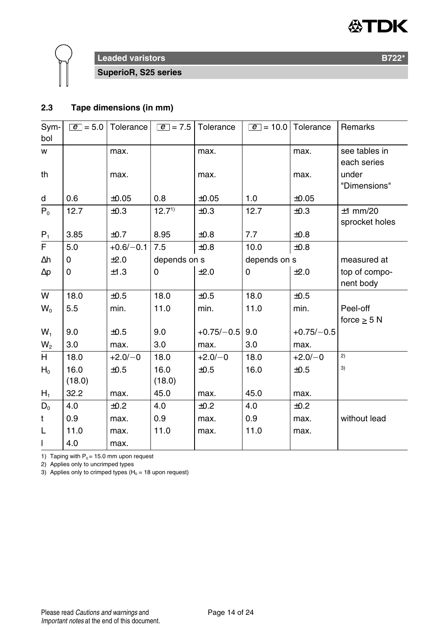



**SuperioR, S25 series**

## **2.3 Tape dimensions (in mm)**

| Sym-<br>bol    | $ e  = 5.0$    | Tolerance   | $\boxed{e}$ = 7.5 | Tolerance    | $\boxed{e}$ = 10.0   Tolerance |              | Remarks                      |
|----------------|----------------|-------------|-------------------|--------------|--------------------------------|--------------|------------------------------|
| w              |                | max.        |                   | max.         |                                | max.         | see tables in<br>each series |
| th             |                | max.        |                   | max.         |                                | max.         | under<br>"Dimensions"        |
| d              | 0.6            | ±0.05       | 0.8               | $\pm 0.05$   | 1.0                            | ±0.05        |                              |
| $P_0$          | 12.7           | ±0.3        | $12.7^{1}$        | ±0.3         | 12.7                           | ±0.3         | $±1$ mm/20<br>sprocket holes |
| $P_1$          | 3.85           | ±0.7        | 8.95              | $\pm 0.8$    | 7.7                            | $\pm 0.8$    |                              |
| F.             | 5.0            | $+0.6/-0.1$ | 7.5               | $\pm 0.8$    | 10.0                           | ±0.8         |                              |
| Δh             | $\Omega$       | ±2.0        | depends on s      |              | depends on s                   |              | measured at                  |
| $\Delta p$     | 0              | ±1.3        | 0                 | ±2.0         | 0                              | ±2.0         | top of compo-<br>nent body   |
| W              | 18.0           | ±0.5        | 18.0              | ±0.5         | 18.0                           | ±0.5         |                              |
| $W_0$          | 5.5            | min.        | 11.0              | min.         | 11.0                           | min.         | Peel-off                     |
|                |                |             |                   |              |                                |              | force $\geq$ 5 N             |
| $W_1$          | 9.0            | $\pm 0.5$   | 9.0               | $+0.75/-0.5$ | 9.0                            | $+0.75/-0.5$ |                              |
| W <sub>2</sub> | 3.0            | max.        | 3.0               | max.         | 3.0                            | max.         |                              |
| H.             | 18.0           | $+2.0/-0$   | 18.0              | $+2.0/-0$    | 18.0                           | $+2.0/-0$    | 2)                           |
| $H_0$          | 16.0<br>(18.0) | ±0.5        | 16.0<br>(18.0)    | ±0.5         | 16.0                           | ±0.5         | 3)                           |
| $H_1$          | 32.2           | max.        | 45.0              | max.         | 45.0                           | max.         |                              |
| $D_0$          | 4.0            | $+0.2$      | 4.0               | ±0.2         | 4.0                            | ±0.2         |                              |
| t              | 0.9            | max.        | 0.9               | max.         | 0.9                            | max.         | without lead                 |
| L              | 11.0           | max.        | 11.0              | max.         | 11.0                           | max.         |                              |
| $\mathbf{I}$   | 4.0            | max.        |                   |              |                                |              |                              |

1) Taping with  $P_0 = 15.0$  mm upon request

2) Applies only to uncrimped types

3) Applies only to crimped types ( $H_0 = 18$  upon request)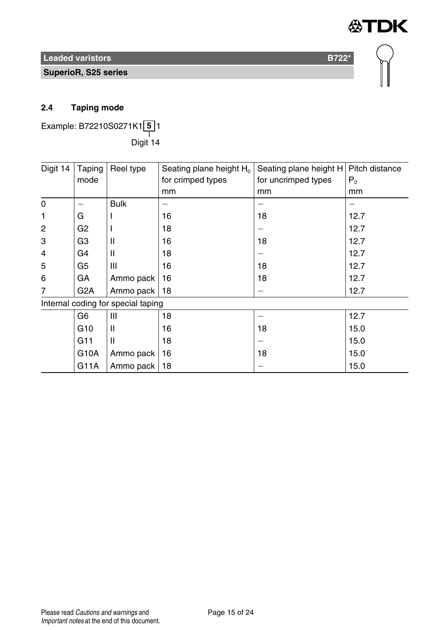**SuperioR, S25 series**

## **2.4 Taping mode**

Example: B72210S0271K1 **5** 1 ——<br>Digit 14

| Digit 14    | Taping           | Reel type                          | Seating plane height H <sub>0</sub>      | Seating plane height H   Pitch distance |       |
|-------------|------------------|------------------------------------|------------------------------------------|-----------------------------------------|-------|
|             | mode             |                                    | for crimped types<br>for uncrimped types |                                         | $P_0$ |
|             |                  |                                    | mm                                       | mm                                      | mm    |
| $\mathbf 0$ |                  | <b>Bulk</b>                        |                                          |                                         |       |
| 1           | G                |                                    | 16                                       | 18                                      | 12.7  |
| 2           | G <sub>2</sub>   |                                    | 18                                       |                                         | 12.7  |
| 3           | G <sub>3</sub>   | Ш                                  | 16                                       | 18                                      | 12.7  |
| 4           | G4               | Ш                                  | 18                                       |                                         | 12.7  |
| 5           | G <sub>5</sub>   | Ш                                  | 16                                       | 18                                      | 12.7  |
| 6           | GA               | Ammo pack                          | 16                                       | 18                                      | 12.7  |
| 7           | G <sub>2</sub> A | Ammo pack                          | 18                                       |                                         | 12.7  |
|             |                  | Internal coding for special taping |                                          |                                         |       |
|             | G6               | Ш                                  | 18                                       |                                         | 12.7  |
|             | G <sub>10</sub>  | Ш                                  | 16                                       | 18                                      | 15.0  |
|             | G <sub>11</sub>  | Ш                                  | 18                                       |                                         | 15.0  |
|             | G10A             | Ammo pack                          | 16                                       | 18                                      | 15.0  |
|             | G11A             | Ammo pack                          | 18                                       |                                         | 15.0  |

**公TDK**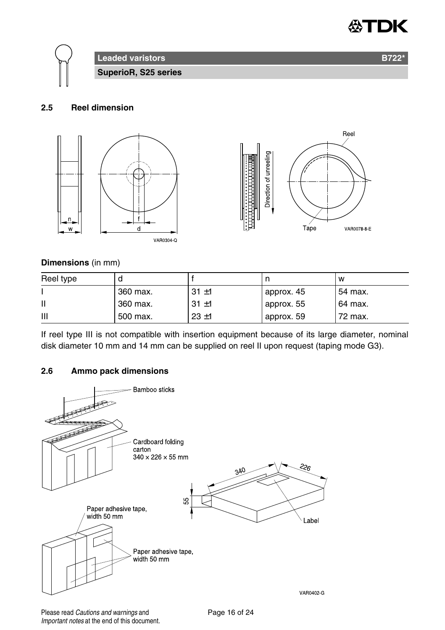



#### **2.5 Reel dimension**



#### **Dimensions** (in mm)

| Reel type |          |          |            | w       |
|-----------|----------|----------|------------|---------|
|           | 360 max. | $31 + 1$ | approx. 45 | 54 max. |
| Ш         | 360 max. | $31 + 1$ | approx. 55 | 64 max. |
| Ш         | 500 max. | $23 + 1$ | approx. 59 | 72 max. |

If reel type III is not compatible with insertion equipment because of its large diameter, nominal disk diameter 10 mm and 14 mm can be supplied on reel II upon request (taping mode G3).

## **2.6 Ammo pack dimensions**



Please read Cautions and warnings and <br>
Page 16 of 24 Important notes at the end of this document.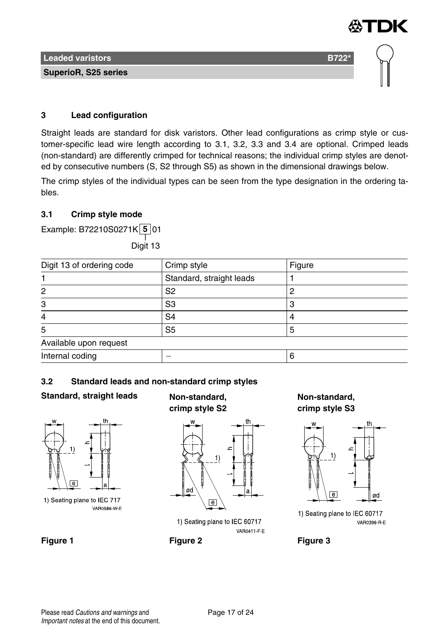

#### **3 Lead configuration**

Straight leads are standard for disk varistors. Other lead configurations as crimp style or customer-specific lead wire length according to 3.1, 3.2, 3.3 and 3.4 are optional. Crimped leads (non-standard) are differently crimped for technical reasons; the individual crimp styles are denoted by consecutive numbers (S, S2 through S5) as shown in the dimensional drawings below.

The crimp styles of the individual types can be seen from the type designation in the ordering tables.

## **3.1 Crimp style mode**

Example: B72210S0271K **5** 01

——<br>Digit 13

| Digit 13 of ordering code | Crimp style              | Figure |
|---------------------------|--------------------------|--------|
|                           | Standard, straight leads |        |
| 2                         | S <sub>2</sub>           |        |
| 3                         | S3                       |        |
| 4                         | S <sub>4</sub>           |        |
| 5                         | S <sub>5</sub>           |        |
| Available upon request    |                          |        |
| Internal coding           |                          |        |

## **3.2 Standard leads and non-standard crimp styles**

## **Standard, straight leads Non-standard,**



1) Seating plane to IEC 717 VAR0586 W E

# **crimp style S2**



1) Seating plane to IEC 60717 **VAR0411 F E** 

**Figure 1 Figure 2 Figure 3**

**Non-standard, crimp style S3**



1) Seating plane to IEC 60717 VAR0396 R E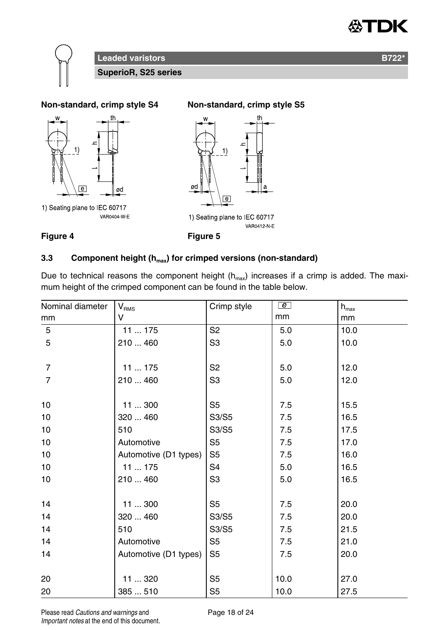





## **3.3 Component height (hmax) for crimped versions (non-standard)**

Due to technical reasons the component height  $(h<sub>max</sub>)$  increases if a crimp is added. The maximum height of the crimped component can be found in the table below.

| Nominal diameter | V <sub>RMS</sub>      | Crimp style    | e    | $h_{\text{max}}$ |
|------------------|-----------------------|----------------|------|------------------|
| mm               | v                     |                | mm   | mm               |
| 5                | 11  175               | S <sub>2</sub> | 5.0  | 10.0             |
| 5                | 210  460              | S3             | 5.0  | 10.0             |
| $\overline{7}$   | 11  175               | S <sub>2</sub> | 5.0  | 12.0             |
| $\overline{7}$   | 210  460              | S3             | 5.0  | 12.0             |
| 10               | 11300                 | S5             | 7.5  | 15.5             |
| 10               | 320  460              | S3/S5          | 7.5  | 16.5             |
| 10               | 510                   | S3/S5          | 7.5  | 17.5             |
| 10               | Automotive            | S <sub>5</sub> | 7.5  | 17.0             |
| 10               | Automotive (D1 types) | S <sub>5</sub> | 7.5  | 16.0             |
| 10               | 11175                 | S <sub>4</sub> | 5.0  | 16.5             |
| 10               | 210  460              | S <sub>3</sub> | 5.0  | 16.5             |
| 14               | 11300                 | S <sub>5</sub> | 7.5  | 20.0             |
| 14               | 320  460              | S3/S5          | 7.5  | 20.0             |
| 14               | 510                   | S3/S5          | 7.5  | 21.5             |
| 14               | Automotive            | S5             | 7.5  | 21.0             |
| 14               | Automotive (D1 types) | S <sub>5</sub> | 7.5  | 20.0             |
| 20               | 11  320               | S <sub>5</sub> | 10.0 | 27.0             |
| 20               | 385510                | S <sub>5</sub> | 10.0 | 27.5             |

Please read Cautions and warnings and <br>
Page 18 of 24 Important notes at the end of this document.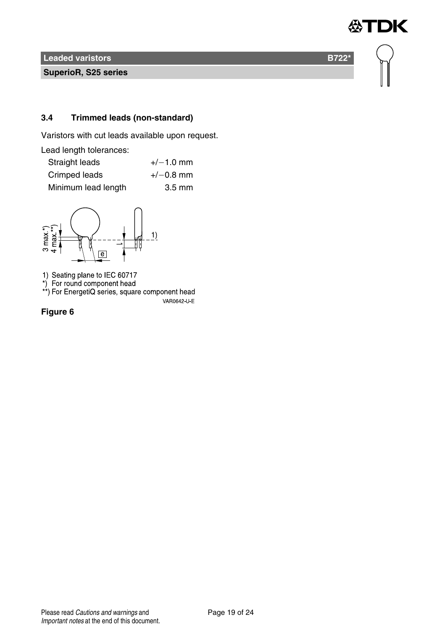**SuperioR, S25 series**

## **3.4 Trimmed leads (non-standard)**

Varistors with cut leads available upon request.

Lead length tolerances:

| Straight leads      | $+/-1.0$ mm      |
|---------------------|------------------|
| Crimped leads       | $+/-0.8$ mm      |
| Minimum lead length | $3.5 \text{ mm}$ |



1) Seating plane to IEC 60717<br>\*) For round component head<br>\*\*) For EnergetiQ series, square component head VAR0642 U E

**Figure 6**

**DK** 

怂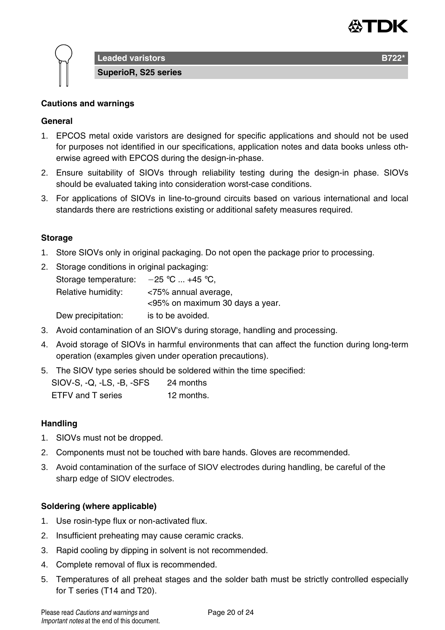

**Leaded varistors B722** 

**SuperioR, S25 series**

## **Cautions and warnings**

## **General**

- 1. EPCOS metal oxide varistors are designed for specific applications and should not be used for purposes not identified in our specifications, application notes and data books unless otherwise agreed with EPCOS during the design-in-phase.
- 2. Ensure suitability of SIOVs through reliability testing during the design-in phase. SIOVs should be evaluated taking into consideration worst-case conditions.
- 3. For applications of SIOVs in line-to-ground circuits based on various international and local standards there are restrictions existing or additional safety measures required.

#### **Storage**

- 1. Store SIOVs only in original packaging. Do not open the package prior to processing.
- 2. Storage conditions in original packaging:

| Storage temperature: | $-25$ °C  +45 °C.               |
|----------------------|---------------------------------|
| Relative humidity:   | <75% annual average,            |
|                      | <95% on maximum 30 days a year. |
| Dew precipitation:   | is to be avoided.               |

- 3. Avoid contamination of an SIOV's during storage, handling and processing.
- 4. Avoid storage of SIOVs in harmful environments that can affect the function during long-term operation (examples given under operation precautions).
- 5. The SIOV type series should be soldered within the time specified:

| SIOV-S, Q, LS, B, SFS | 24 months  |
|-----------------------|------------|
| ETFV and T series     | 12 months. |

#### **Handling**

- 1. SIOVs must not be dropped.
- 2. Components must not be touched with bare hands. Gloves are recommended.
- 3. Avoid contamination of the surface of SIOV electrodes during handling, be careful of the sharp edge of SIOV electrodes.

#### **Soldering (where applicable)**

- 1. Use rosin-type flux or non-activated flux.
- 2. Insufficient preheating may cause ceramic cracks.
- 3. Rapid cooling by dipping in solvent is not recommended.
- 4. Complete removal of flux is recommended.
- 5. Temperatures of all preheat stages and the solder bath must be strictly controlled especially for T series (T14 and T20).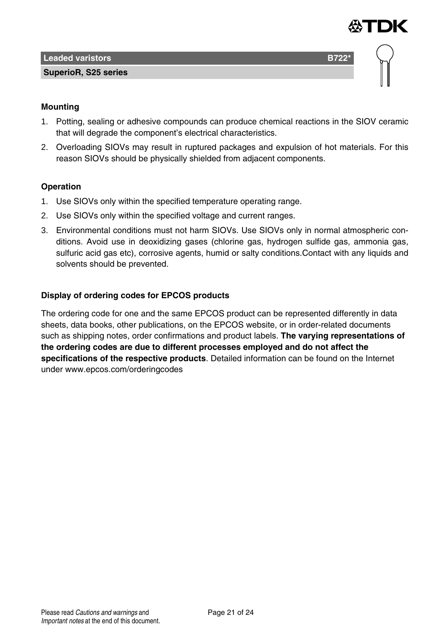

## **Mounting**

- 1. Potting, sealing or adhesive compounds can produce chemical reactions in the SIOV ceramic that will degrade the component's electrical characteristics.
- 2. Overloading SIOVs may result in ruptured packages and expulsion of hot materials. For this reason SIOVs should be physically shielded from adjacent components.

## **Operation**

- 1. Use SIOVs only within the specified temperature operating range.
- 2. Use SIOVs only within the specified voltage and current ranges.
- 3. Environmental conditions must not harm SIOVs. Use SIOVs only in normal atmospheric conditions. Avoid use in deoxidizing gases (chlorine gas, hydrogen sulfide gas, ammonia gas, sulfuric acid gas etc), corrosive agents, humid or salty conditions.Contact with any liquids and solvents should be prevented.

## **Display of ordering codes for EPCOS products**

The ordering code for one and the same EPCOS product can be represented differently in data sheets, data books, other publications, on the EPCOS website, or in order-related documents such as shipping notes, order confirmations and product labels. **The varying representations of the ordering codes are due to different processes employed and do not affect the specifications of the respective products**. Detailed information can be found on the Internet under www.epcos.com/orderingcodes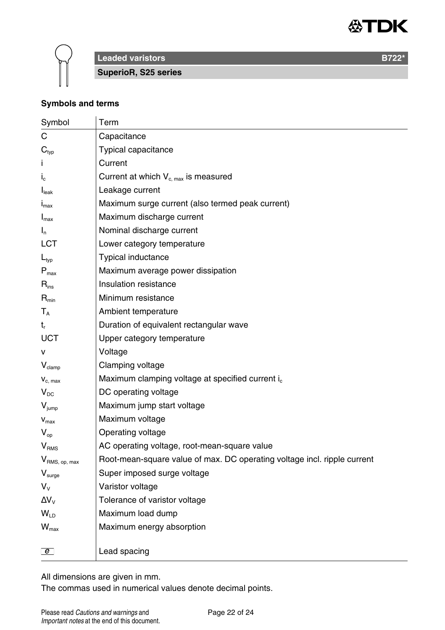



**Leaded varistors B722<sup>\*</sup> B722<sup>\*</sup>** 

**SuperioR, S25 series**

## **Symbols and terms**

| Symbol                      | Term                                                                     |
|-----------------------------|--------------------------------------------------------------------------|
| C                           | Capacitance                                                              |
| $\mathbf{C}_{\text{typ}}$   | Typical capacitance                                                      |
|                             | Current                                                                  |
| $I_{c}$                     | Current at which $V_{c,max}$ is measured                                 |
| I <sub>leak</sub>           | Leakage current                                                          |
| $I_{\text{max}}$            | Maximum surge current (also termed peak current)                         |
| $I_{\text{max}}$            | Maximum discharge current                                                |
| $I_n$                       | Nominal discharge current                                                |
| LCT                         | Lower category temperature                                               |
| $L_{typ}$                   | Typical inductance                                                       |
| $\mathsf{P}_{\mathsf{max}}$ | Maximum average power dissipation                                        |
| $\mathsf{R}_{\mathsf{ins}}$ | Insulation resistance                                                    |
| $R_{min}$                   | Minimum resistance                                                       |
| $T_{A}$                     | Ambient temperature                                                      |
| t,                          | Duration of equivalent rectangular wave                                  |
| UCT                         | Upper category temperature                                               |
| v                           | Voltage                                                                  |
| $V_{\text{clamp}}$          | Clamping voltage                                                         |
| $V_{c, max}$                | Maximum clamping voltage at specified current i <sub>c</sub>             |
| $V_{DC}$                    | DC operating voltage                                                     |
| $V_{\text{jump}}$           | Maximum jump start voltage                                               |
| $\mathbf{V}_{\text{max}}$   | Maximum voltage                                                          |
| $V_{\text{on}}$             | Operating voltage                                                        |
| V <sub>RMS</sub>            | AC operating voltage, root-mean-square value                             |
| V <sub>RMS, op, max</sub>   | Root-mean-square value of max. DC operating voltage incl. ripple current |
| $V_{\text{surge}}$          | Super imposed surge voltage                                              |
| $V_{V}$                     | Varistor voltage                                                         |
| $\Delta V_{V}$              | Tolerance of varistor voltage                                            |
| $W_{\text{ID}}$             | Maximum load dump                                                        |
| $W_{\text{max}}$            | Maximum energy absorption                                                |
|                             |                                                                          |
| $\boxed{e}$                 | Lead spacing                                                             |

All dimensions are given in mm.

The commas used in numerical values denote decimal points.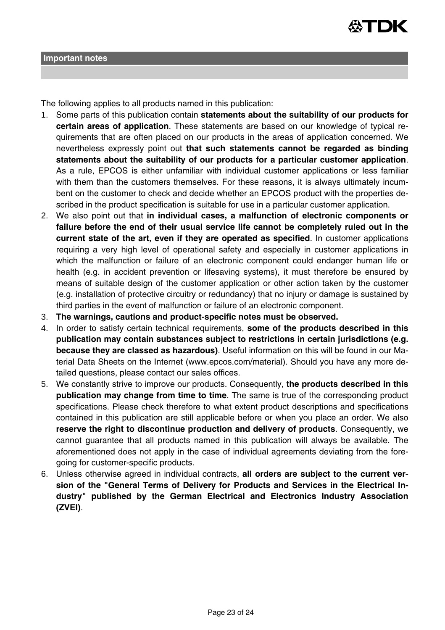

The following applies to all products named in this publication:

- 1. Some parts of this publication contain **statements about the suitability of our products for certain areas of application**. These statements are based on our knowledge of typical requirements that are often placed on our products in the areas of application concerned. We nevertheless expressly point out **that such statements cannot be regarded as binding statements about the suitability of our products for a particular customer application**. As a rule, EPCOS is either unfamiliar with individual customer applications or less familiar with them than the customers themselves. For these reasons, it is always ultimately incumbent on the customer to check and decide whether an EPCOS product with the properties described in the product specification is suitable for use in a particular customer application.
- 2. We also point out that **in individual cases, a malfunction of electronic components or failure before the end of their usual service life cannot be completely ruled out in the current state of the art, even if they are operated as specified**. In customer applications requiring a very high level of operational safety and especially in customer applications in which the malfunction or failure of an electronic component could endanger human life or health (e.g. in accident prevention or lifesaving systems), it must therefore be ensured by means of suitable design of the customer application or other action taken by the customer (e.g. installation of protective circuitry or redundancy) that no injury or damage is sustained by third parties in the event of malfunction or failure of an electronic component.
- 3. **The warnings, cautions and product-specific notes must be observed.**
- 4. In order to satisfy certain technical requirements, **some of the products described in this publication may contain substances subject to restrictions in certain jurisdictions (e.g. because they are classed as hazardous)**. Useful information on this will be found in our Material Data Sheets on the Internet (www.epcos.com/material). Should you have any more detailed questions, please contact our sales offices.
- 5. We constantly strive to improve our products. Consequently, **the products described in this publication may change from time to time**. The same is true of the corresponding product specifications. Please check therefore to what extent product descriptions and specifications contained in this publication are still applicable before or when you place an order. We also **reserve the right to discontinue production and delivery of products**. Consequently, we cannot guarantee that all products named in this publication will always be available. The aforementioned does not apply in the case of individual agreements deviating from the foregoing for customer-specific products.
- 6. Unless otherwise agreed in individual contracts, **all orders are subject to the current version of the "General Terms of Delivery for Products and Services in the Electrical Industry" published by the German Electrical and Electronics Industry Association (ZVEI)**.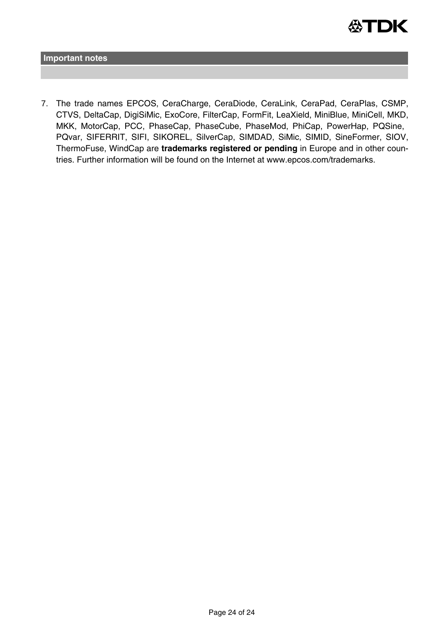

**Important notes**

7. The trade names EPCOS, CeraCharge, CeraDiode, CeraLink, CeraPad, CeraPlas, CSMP, CTVS, DeltaCap, DigiSiMic, ExoCore, FilterCap, FormFit, LeaXield, MiniBlue, MiniCell, MKD, MKK, MotorCap, PCC, PhaseCap, PhaseCube, PhaseMod, PhiCap, PowerHap, PQSine, PQvar, SIFERRIT, SIFI, SIKOREL, SilverCap, SIMDAD, SiMic, SIMID, SineFormer, SIOV, ThermoFuse, WindCap are **trademarks registered or pending** in Europe and in other countries. Further information will be found on the Internet at www.epcos.com/trademarks.